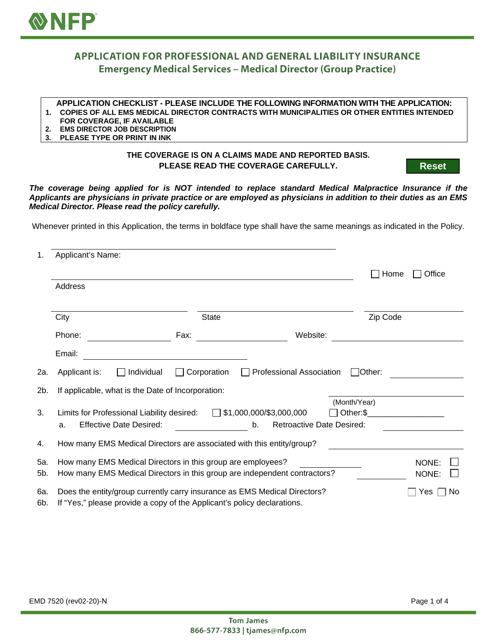

## **APPLICATION FOR PROFESSIONAL AND GENERAL LIABILITY INSURANCE Emergency Medical Services - Medical Director (Group Practice)**

## **APPLICATION CHECKLIST - PLEASE INCLUDE THE FOLLOWING INFORMATION WITH THE APPLICATION:**

- **1. COPIES OF ALL EMS MEDICAL DIRECTOR CONTRACTS WITH MUNICIPALITIES OR OTHER ENTITIES INTENDED**
- **FOR COVERAGE, IF AVAILABLE**
- **2. EMS DIRECTOR JOB DESCRIPTION 3. PLEASE TYPE OR PRINT IN INK**

## **THE COVERAGE IS ON A CLAIMS MADE AND REPORTED BASIS. PLEASE READ THE COVERAGE CAREFULLY.**

**Reset**

*The coverage being applied for is NOT intended to replace standard Medical Malpractice Insurance if the Applicants are physicians in private practice or are employed as physicians in addition to their duties as an EMS Medical Director. Please read the policy carefully.*

Whenever printed in this Application, the terms in boldface type shall have the same meanings as indicated in the Policy.

| 1.         | Applicant's Name:                                                                                                                                    |                                                                   |                          |           |  |
|------------|------------------------------------------------------------------------------------------------------------------------------------------------------|-------------------------------------------------------------------|--------------------------|-----------|--|
|            |                                                                                                                                                      |                                                                   | Home                     | Office    |  |
|            | Address                                                                                                                                              |                                                                   |                          |           |  |
|            | City<br><b>State</b>                                                                                                                                 |                                                                   | Zip Code                 |           |  |
|            | Phone:<br>Fax:                                                                                                                                       | Website:                                                          |                          |           |  |
|            | Email:                                                                                                                                               |                                                                   |                          |           |  |
| 2a.        | $\Box$ Individual<br>$\Box$ Corporation<br>Applicant is:                                                                                             | <b>Professional Association</b>                                   | <b>Other:</b>            |           |  |
| 2b.        | If applicable, what is the Date of Incorporation:                                                                                                    |                                                                   |                          |           |  |
| 3.         | Limits for Professional Liability desired:<br>$\mathbf{I}$<br><b>Effective Date Desired:</b><br>a.                                                   | \$1,000,000/\$3,000,000<br><b>Retroactive Date Desired:</b><br>b. | (Month/Year)<br>Other:\$ |           |  |
| 4.         | How many EMS Medical Directors are associated with this entity/group?                                                                                |                                                                   |                          |           |  |
| 5a.<br>5b. | How many EMS Medical Directors in this group are employees?<br>How many EMS Medical Directors in this group are independent contractors?             |                                                                   | NONE:<br>NONE:           |           |  |
| 6a.<br>6b. | Does the entity/group currently carry insurance as EMS Medical Directors?<br>If "Yes," please provide a copy of the Applicant's policy declarations. |                                                                   |                          | No<br>Yes |  |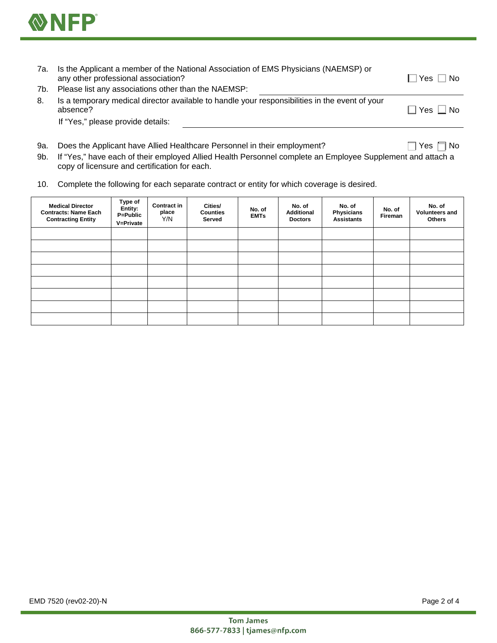

| 7а. | Is the Applicant a member of the National Association of EMS Physicians (NAEMSP) or<br>any other professional association? | ∩ No<br>Yes |
|-----|----------------------------------------------------------------------------------------------------------------------------|-------------|
| 7b. | Please list any associations other than the NAEMSP:                                                                        |             |
| 8.  | Is a temporary medical director available to handle your responsibilities in the event of your<br>absence?                 | Yes □ No    |
|     | If "Yes," please provide details:                                                                                          |             |
|     |                                                                                                                            |             |

- 9a. Does the Applicant have Allied Healthcare Personnel in their employment?  $\Box$  Yes  $\Box$  Yes  $\Box$  No
- 9b. If "Yes," have each of their employed Allied Health Personnel complete an Employee Supplement and attach a copy of licensure and certification for each.
- 10. Complete the following for each separate contract or entity for which coverage is desired.

| <b>Medical Director</b><br><b>Contracts: Name Each</b><br><b>Contracting Entity</b> | Type of<br>Entity:<br>P=Public<br>V=Private | <b>Contract in</b><br>place<br>Y/N | Cities/<br><b>Counties</b><br>Served | No. of<br><b>EMTs</b> | No. of<br><b>Additional</b><br><b>Doctors</b> | No. of<br>Physicians<br><b>Assistants</b> | No. of<br>Fireman | No. of<br>Volunteers and<br><b>Others</b> |
|-------------------------------------------------------------------------------------|---------------------------------------------|------------------------------------|--------------------------------------|-----------------------|-----------------------------------------------|-------------------------------------------|-------------------|-------------------------------------------|
|                                                                                     |                                             |                                    |                                      |                       |                                               |                                           |                   |                                           |
|                                                                                     |                                             |                                    |                                      |                       |                                               |                                           |                   |                                           |
|                                                                                     |                                             |                                    |                                      |                       |                                               |                                           |                   |                                           |
|                                                                                     |                                             |                                    |                                      |                       |                                               |                                           |                   |                                           |
|                                                                                     |                                             |                                    |                                      |                       |                                               |                                           |                   |                                           |
|                                                                                     |                                             |                                    |                                      |                       |                                               |                                           |                   |                                           |
|                                                                                     |                                             |                                    |                                      |                       |                                               |                                           |                   |                                           |
|                                                                                     |                                             |                                    |                                      |                       |                                               |                                           |                   |                                           |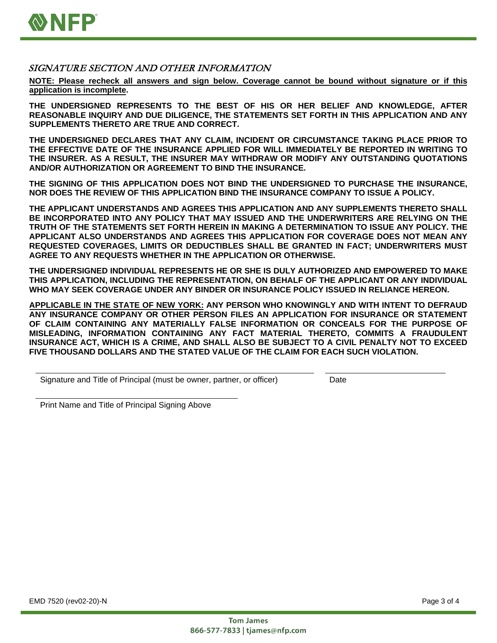

## SIGNATURE SECTION AND OTHER INFORMATION

**NOTE: Please recheck all answers and sign below. Coverage cannot be bound without signature or if this application is incomplete.**

**THE UNDERSIGNED REPRESENTS TO THE BEST OF HIS OR HER BELIEF AND KNOWLEDGE, AFTER REASONABLE INQUIRY AND DUE DILIGENCE, THE STATEMENTS SET FORTH IN THIS APPLICATION AND ANY SUPPLEMENTS THERETO ARE TRUE AND CORRECT.**

**THE UNDERSIGNED DECLARES THAT ANY CLAIM, INCIDENT OR CIRCUMSTANCE TAKING PLACE PRIOR TO THE EFFECTIVE DATE OF THE INSURANCE APPLIED FOR WILL IMMEDIATELY BE REPORTED IN WRITING TO THE INSURER. AS A RESULT, THE INSURER MAY WITHDRAW OR MODIFY ANY OUTSTANDING QUOTATIONS AND/OR AUTHORIZATION OR AGREEMENT TO BIND THE INSURANCE.**

**THE SIGNING OF THIS APPLICATION DOES NOT BIND THE UNDERSIGNED TO PURCHASE THE INSURANCE, NOR DOES THE REVIEW OF THIS APPLICATION BIND THE INSURANCE COMPANY TO ISSUE A POLICY.**

**THE APPLICANT UNDERSTANDS AND AGREES THIS APPLICATION AND ANY SUPPLEMENTS THERETO SHALL BE INCORPORATED INTO ANY POLICY THAT MAY ISSUED AND THE UNDERWRITERS ARE RELYING ON THE TRUTH OF THE STATEMENTS SET FORTH HEREIN IN MAKING A DETERMINATION TO ISSUE ANY POLICY. THE APPLICANT ALSO UNDERSTANDS AND AGREES THIS APPLICATION FOR COVERAGE DOES NOT MEAN ANY REQUESTED COVERAGES, LIMITS OR DEDUCTIBLES SHALL BE GRANTED IN FACT; UNDERWRITERS MUST AGREE TO ANY REQUESTS WHETHER IN THE APPLICATION OR OTHERWISE.**

**THE UNDERSIGNED INDIVIDUAL REPRESENTS HE OR SHE IS DULY AUTHORIZED AND EMPOWERED TO MAKE THIS APPLICATION, INCLUDING THE REPRESENTATION, ON BEHALF OF THE APPLICANT OR ANY INDIVIDUAL WHO MAY SEEK COVERAGE UNDER ANY BINDER OR INSURANCE POLICY ISSUED IN RELIANCE HEREON.**

**APPLICABLE IN THE STATE OF NEW YORK: ANY PERSON WHO KNOWINGLY AND WITH INTENT TO DEFRAUD ANY INSURANCE COMPANY OR OTHER PERSON FILES AN APPLICATION FOR INSURANCE OR STATEMENT OF CLAIM CONTAINING ANY MATERIALLY FALSE INFORMATION OR CONCEALS FOR THE PURPOSE OF MISLEADING, INFORMATION CONTAINING ANY FACT MATERIAL THERETO, COMMITS A FRAUDULENT INSURANCE ACT, WHICH IS A CRIME, AND SHALL ALSO BE SUBJECT TO A CIVIL PENALTY NOT TO EXCEED FIVE THOUSAND DOLLARS AND THE STATED VALUE OF THE CLAIM FOR EACH SUCH VIOLATION.**

Signature and Title of Principal (must be owner, partner, or officer) Date

Print Name and Title of Principal Signing Above